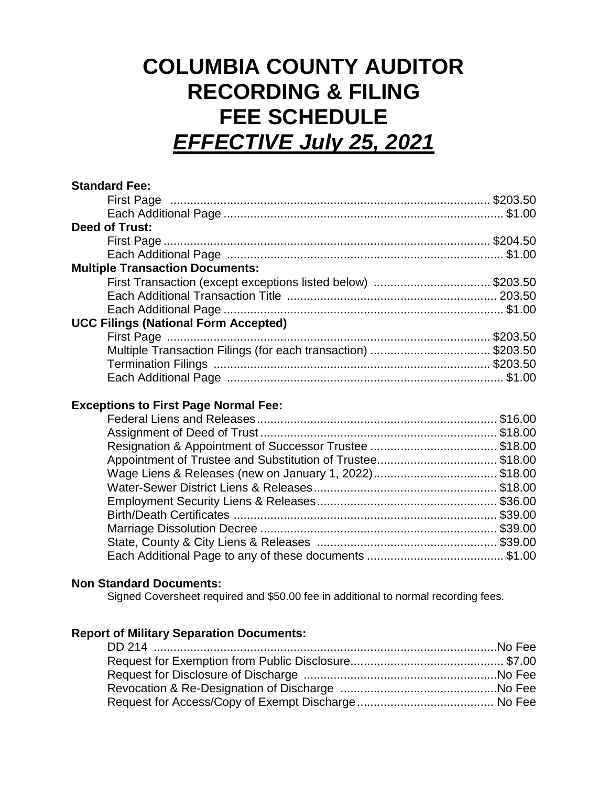# **COLUMBIA COUNTY AUDITOR RECORDING & FILING FEE SCHEDULE** *EFFECTIVE July 25, 2021*

| <b>Standard Fee:</b>                                         |  |
|--------------------------------------------------------------|--|
|                                                              |  |
|                                                              |  |
| <b>Deed of Trust:</b>                                        |  |
|                                                              |  |
|                                                              |  |
| <b>Multiple Transaction Documents:</b>                       |  |
| First Transaction (except exceptions listed below) \$203.50  |  |
|                                                              |  |
|                                                              |  |
| <b>UCC Filings (National Form Accepted)</b>                  |  |
|                                                              |  |
| Multiple Transaction Filings (for each transaction) \$203.50 |  |
|                                                              |  |
|                                                              |  |

## **Exceptions to First Page Normal Fee:**

#### **Non Standard Documents:**

Signed Coversheet required and \$50.00 fee in additional to normal recording fees.

### **Report of Military Separation Documents:**

| DD 214 …………………………………………………………………………………………No Fee |  |
|-------------------------------------------------|--|
|                                                 |  |
|                                                 |  |
|                                                 |  |
|                                                 |  |